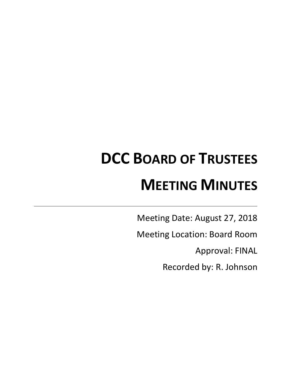# **DCC BOARD OF TRUSTEES MEETING MINUTES**

Meeting Date: August 27, 2018

Meeting Location: Board Room

Approval: FINAL

Recorded by: R. Johnson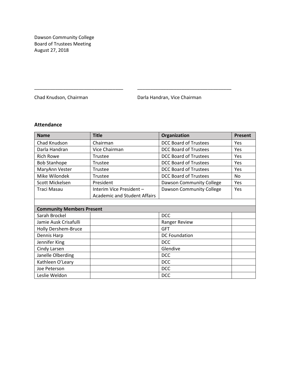Dawson Community College Board of Trustees Meeting August 27, 2018

Chad Knudson, Chairman **Darla Handran, Vice Chairman** 

# **Attendance**

| <b>Name</b>                      | <b>Title</b>                        | Organization                 | <b>Present</b> |
|----------------------------------|-------------------------------------|------------------------------|----------------|
| Chad Knudson                     | Chairman                            | <b>DCC Board of Trustees</b> | Yes            |
| Darla Handran                    | Vice Chairman                       | <b>DCC Board of Trustees</b> | Yes            |
| <b>Rich Rowe</b>                 | Trustee                             | <b>DCC Board of Trustees</b> | Yes            |
| <b>Bob Stanhope</b>              | Trustee                             | <b>DCC Board of Trustees</b> | Yes            |
| MaryAnn Vester                   | Trustee                             | <b>DCC Board of Trustees</b> | Yes            |
| Mike Wilondek                    | Trustee                             | <b>DCC Board of Trustees</b> | No             |
| Scott Mickelsen                  | President                           | Dawson Community College     | Yes            |
| Traci Masau                      | Interim Vice President -            | Dawson Community College     | Yes            |
|                                  | <b>Academic and Student Affairs</b> |                              |                |
|                                  |                                     |                              |                |
| <b>Community Members Present</b> |                                     |                              |                |
| Sarah Brockel                    |                                     | <b>DCC</b>                   |                |
| Jamie Ausk Crisafulli            |                                     | Ranger Review                |                |
| Holly Dershem-Bruce              |                                     | <b>GFT</b>                   |                |
| Dennis Harp                      |                                     | <b>DC Foundation</b>         |                |
| Jennifer King                    |                                     | <b>DCC</b>                   |                |
| Cindy Larsen                     |                                     | Glendive                     |                |
| Janelle Olberding                |                                     | <b>DCC</b>                   |                |
| Kathleen O'Leary                 |                                     | <b>DCC</b>                   |                |
| Joe Peterson                     |                                     | <b>DCC</b>                   |                |
| Leslie Weldon                    |                                     | <b>DCC</b>                   |                |

\_\_\_\_\_\_\_\_\_\_\_\_\_\_\_\_\_\_\_\_\_\_\_\_\_\_\_\_\_\_\_\_\_\_ \_\_\_\_\_\_\_\_\_\_\_\_\_\_\_\_\_\_\_\_\_\_\_\_\_\_\_\_\_\_\_\_\_\_\_\_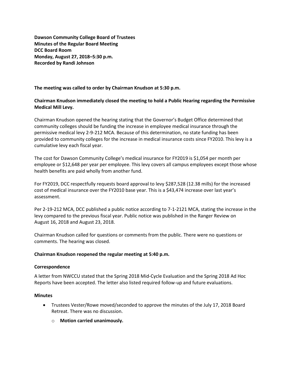**Dawson Community College Board of Trustees Minutes of the Regular Board Meeting DCC Board Room Monday, August 27, 2018–5:30 p.m. Recorded by Randi Johnson**

## **The meeting was called to order by Chairman Knudson at 5:30 p.m.**

# **Chairman Knudson immediately closed the meeting to hold a Public Hearing regarding the Permissive Medical Mill Levy.**

Chairman Knudson opened the hearing stating that the Governor's Budget Office determined that community colleges should be funding the increase in employee medical insurance through the permissive medical levy 2-9-212 MCA. Because of this determination, no state funding has been provided to community colleges for the increase in medical insurance costs since FY2010. This levy is a cumulative levy each fiscal year.

The cost for Dawson Community College's medical insurance for FY2019 is \$1,054 per month per employee or \$12,648 per year per employee. This levy covers all campus employees except those whose health benefits are paid wholly from another fund.

For FY2019, DCC respectfully requests board approval to levy \$287,528 (12.38 mills) for the increased cost of medical insurance over the FY2010 base year. This is a \$43,474 increase over last year's assessment.

Per 2-19-212 MCA, DCC published a public notice according to 7-1-2121 MCA, stating the increase in the levy compared to the previous fiscal year. Public notice was published in the Ranger Review on August 16, 2018 and August 23, 2018.

Chairman Knudson called for questions or comments from the public. There were no questions or comments. The hearing was closed.

## **Chairman Knudson reopened the regular meeting at 5:40 p.m.**

## **Correspondence**

A letter from NWCCU stated that the Spring 2018 Mid-Cycle Evaluation and the Spring 2018 Ad Hoc Reports have been accepted. The letter also listed required follow-up and future evaluations.

## **Minutes**

- Trustees Vester/Rowe moved/seconded to approve the minutes of the July 17, 2018 Board Retreat. There was no discussion.
	- o **Motion carried unanimously.**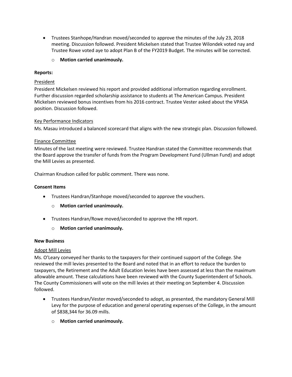- Trustees Stanhope/Handran moved/seconded to approve the minutes of the July 23, 2018 meeting. Discussion followed. President Mickelsen stated that Trustee Wilondek voted nay and Trustee Rowe voted aye to adopt Plan B of the FY2019 Budget. The minutes will be corrected.
	- o **Motion carried unanimously.**

## **Reports:**

## **President**

President Mickelsen reviewed his report and provided additional information regarding enrollment. Further discussion regarded scholarship assistance to students at The American Campus. President Mickelsen reviewed bonus incentives from his 2016 contract. Trustee Vester asked about the VPASA position. Discussion followed.

## Key Performance Indicators

Ms. Masau introduced a balanced scorecard that aligns with the new strategic plan. Discussion followed.

## Finance Committee

Minutes of the last meeting were reviewed. Trustee Handran stated the Committee recommends that the Board approve the transfer of funds from the Program Development Fund (Ullman Fund) and adopt the Mill Levies as presented.

Chairman Knudson called for public comment. There was none.

## **Consent Items**

- Trustees Handran/Stanhope moved/seconded to approve the vouchers.
	- o **Motion carried unanimously.**
- Trustees Handran/Rowe moved/seconded to approve the HR report.
	- o **Motion carried unanimously.**

## **New Business**

## Adopt Mill Levies

Ms. O'Leary conveyed her thanks to the taxpayers for their continued support of the College. She reviewed the mill levies presented to the Board and noted that in an effort to reduce the burden to taxpayers, the Retirement and the Adult Education levies have been assessed at less than the maximum allowable amount. These calculations have been reviewed with the County Superintendent of Schools. The County Commissioners will vote on the mill levies at their meeting on September 4. Discussion followed.

- Trustees Handran/Vester moved/seconded to adopt, as presented, the mandatory General Mill Levy for the purpose of education and general operating expenses of the College, in the amount of \$838,344 for 36.09 mills.
	- o **Motion carried unanimously.**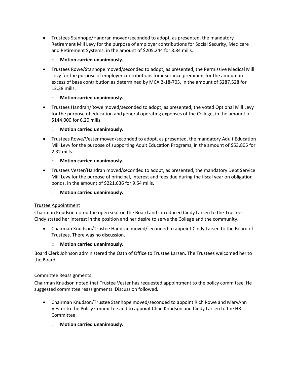Trustees Stanhope/Handran moved/seconded to adopt, as presented, the mandatory Retirement Mill Levy for the purpose of employer contributions for Social Security, Medicare and Retirement Systems, in the amount of \$205,244 for 8.84 mills.

# **Motion carried unanimously.**

 Trustees Rowe/Stanhope moved/seconded to adopt, as presented, the Permissive Medical Mill Levy for the purpose of employer contributions for insurance premiums for the amount in excess of base contribution as determined by MCA 2-18-703, in the amount of \$287,528 for 12.38 mills.

# o **Motion carried unanimously.**

 Trustees Handran/Rowe moved/seconded to adopt, as presented, the voted Optional Mill Levy for the purpose of education and general operating expenses of the College, in the amount of \$144,000 for 6.20 mills.

# o **Motion carried unanimously.**

 Trustees Rowe/Vester moved/seconded to adopt, as presented, the mandatory Adult Education Mill Levy for the purpose of supporting Adult Education Programs, in the amount of \$53,805 for 2.32 mills.

# o **Motion carried unanimously.**

 Trustees Vester/Handran moved/seconded to adopt, as presented, the mandatory Debt Service Mill Levy for the purpose of principal, interest and fees due during the fiscal year on obligation bonds, in the amount of \$221,636 for 9.54 mills.

# o **Motion carried unanimously.**

# Trustee Appointment

Chairman Knudson noted the open seat on the Board and introduced Cindy Larsen to the Trustees. Cindy stated her interest in the position and her desire to serve the College and the community.

 Chairman Knudson/Trustee Handran moved/seconded to appoint Cindy Larsen to the Board of Trustees. There was no discussion.

# o **Motion carried unanimously.**

Board Clerk Johnson administered the Oath of Office to Trustee Larsen. The Trustees welcomed her to the Board.

# Committee Reassignments

Chairman Knudson noted that Trustee Vester has requested appointment to the policy committee. He suggested committee reassignments. Discussion followed.

- Chairman Knudson/Trustee Stanhope moved/seconded to appoint Rich Rowe and MaryAnn Vester to the Policy Committee and to appoint Chad Knudson and Cindy Larsen to the HR Committee.
	- o **Motion carried unanimously.**